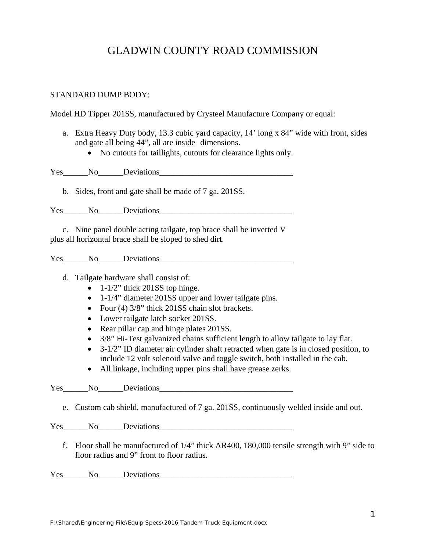# GLADWIN COUNTY ROAD COMMISSION

#### STANDARD DUMP BODY:

Model HD Tipper 201SS, manufactured by Crysteel Manufacture Company or equal:

- a. Extra Heavy Duty body, 13.3 cubic yard capacity, 14' long x 84" wide with front, sides and gate all being 44", all are inside dimensions.
	- No cutouts for taillights, cutouts for clearance lights only.

Yes No Deviations

b. Sides, front and gate shall be made of 7 ga. 201SS.

Yes No<sub>ll</sub> Deviations

c. Nine panel double acting tailgate, top brace shall be inverted V plus all horizontal brace shall be sloped to shed dirt.

Yes\_\_\_\_\_\_No\_\_\_\_\_\_Deviations\_\_\_\_\_\_\_\_\_\_\_\_\_\_\_\_\_\_\_\_\_\_\_\_\_\_\_\_\_\_\_\_

d. Tailgate hardware shall consist of:

- $\bullet$  1-1/2" thick 201SS top hinge.
- 1-1/4" diameter 201SS upper and lower tailgate pins.
- Four (4) 3/8" thick 201SS chain slot brackets.
- Lower tailgate latch socket 201SS.
- Rear pillar cap and hinge plates 201SS.
- 3/8" Hi-Test galvanized chains sufficient length to allow tailgate to lay flat.
- 3-1/2" ID diameter air cylinder shaft retracted when gate is in closed position, to include 12 volt solenoid valve and toggle switch, both installed in the cab.
- All linkage, including upper pins shall have grease zerks.

Yes No Deviations

e. Custom cab shield, manufactured of 7 ga. 201SS, continuously welded inside and out.

Yes No Deviations

f. Floor shall be manufactured of 1/4" thick AR400, 180,000 tensile strength with 9" side to floor radius and 9" front to floor radius.

Yes\_\_\_\_\_\_No\_\_\_\_\_Deviations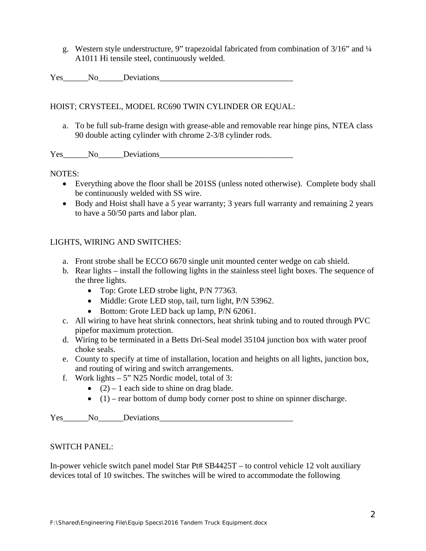g. Western style understructure, 9" trapezoidal fabricated from combination of 3/16" and ¼ A1011 Hi tensile steel, continuously welded.

Yes No Deviations

HOIST; CRYSTEEL, MODEL RC690 TWIN CYLINDER OR EQUAL:

a. To be full sub-frame design with grease-able and removable rear hinge pins, NTEA class 90 double acting cylinder with chrome 2-3/8 cylinder rods.

Yes No Deviations

NOTES:

- Everything above the floor shall be 201SS (unless noted otherwise). Complete body shall be continuously welded with SS wire.
- Body and Hoist shall have a 5 year warranty; 3 years full warranty and remaining 2 years to have a 50/50 parts and labor plan.

## LIGHTS, WIRING AND SWITCHES:

- a. Front strobe shall be ECCO 6670 single unit mounted center wedge on cab shield.
- b. Rear lights install the following lights in the stainless steel light boxes. The sequence of the three lights.
	- Top: Grote LED strobe light, P/N 77363.
	- Middle: Grote LED stop, tail, turn light, P/N 53962.
	- Bottom: Grote LED back up lamp, P/N 62061.
- c. All wiring to have heat shrink connectors, heat shrink tubing and to routed through PVC pipefor maximum protection.
- d. Wiring to be terminated in a Betts Dri-Seal model 35104 junction box with water proof choke seals.
- e. County to specify at time of installation, location and heights on all lights, junction box, and routing of wiring and switch arrangements.
- f. Work lights  $-5$ " N25 Nordic model, total of 3:
	- $\bullet$  (2) 1 each side to shine on drag blade.
	- $\bullet$  (1) rear bottom of dump body corner post to shine on spinner discharge.

Yes No Deviations

## SWITCH PANEL:

In-power vehicle switch panel model Star Pt# SB4425T – to control vehicle 12 volt auxiliary devices total of 10 switches. The switches will be wired to accommodate the following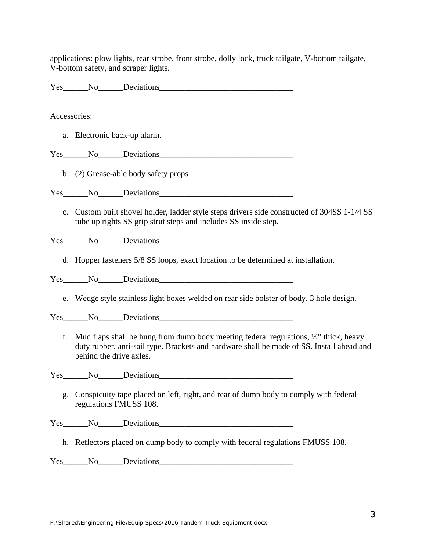applications: plow lights, rear strobe, front strobe, dolly lock, truck tailgate, V-bottom tailgate, V-bottom safety, and scraper lights.

Yes No Deviations

#### Accessories:

a. Electronic back-up alarm.

Yes No Deviations

b. (2) Grease-able body safety props.

Yes No<sub>ll</sub> Deviations

c. Custom built shovel holder, ladder style steps drivers side constructed of 304SS 1-1/4 SS tube up rights SS grip strut steps and includes SS inside step.

Yes No<sub>ll</sub> Deviations

d. Hopper fasteners 5/8 SS loops, exact location to be determined at installation.

Yes No Deviations

e. Wedge style stainless light boxes welded on rear side bolster of body, 3 hole design.

Yes\_\_\_\_\_\_No\_\_\_\_\_\_Deviations\_\_\_\_\_\_\_\_\_\_\_\_\_\_\_\_\_\_\_\_\_\_\_\_\_\_\_\_\_\_\_\_

f. Mud flaps shall be hung from dump body meeting federal regulations,  $\frac{1}{2}$  thick, heavy duty rubber, anti-sail type. Brackets and hardware shall be made of SS. Install ahead and behind the drive axles.

Yes\_\_\_\_\_\_No\_\_\_\_\_\_Deviations\_\_\_\_\_\_\_\_\_\_\_\_\_\_\_\_\_\_\_\_\_\_\_\_\_\_\_\_\_\_\_\_

g. Conspicuity tape placed on left, right, and rear of dump body to comply with federal regulations FMUSS 108.

Yes No Deviations

h. Reflectors placed on dump body to comply with federal regulations FMUSS 108.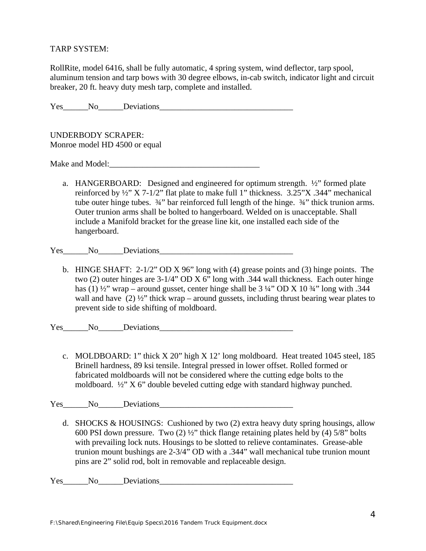### TARP SYSTEM:

RollRite, model 6416, shall be fully automatic, 4 spring system, wind deflector, tarp spool, aluminum tension and tarp bows with 30 degree elbows, in-cab switch, indicator light and circuit breaker, 20 ft. heavy duty mesh tarp, complete and installed.

Yes No Deviations

UNDERBODY SCRAPER: Monroe model HD 4500 or equal

Make and Model:\_\_\_\_\_\_\_\_\_\_\_\_\_\_\_\_\_\_\_\_\_\_\_\_\_\_\_\_\_\_\_\_\_\_\_\_

a. HANGERBOARD: Designed and engineered for optimum strength. ½" formed plate reinforced by ½" X 7-1/2" flat plate to make full 1" thickness. 3.25"X .344" mechanical tube outer hinge tubes. ¾" bar reinforced full length of the hinge. ¾" thick trunion arms. Outer trunion arms shall be bolted to hangerboard. Welded on is unacceptable. Shall include a Manifold bracket for the grease line kit, one installed each side of the hangerboard.

Yes No Deviations

b. HINGE SHAFT: 2-1/2" OD X 96" long with (4) grease points and (3) hinge points. The two (2) outer hinges are 3-1/4" OD X 6" long with .344 wall thickness. Each outer hinge has (1)  $\frac{1}{2}$  wrap – around gusset, center hinge shall be 3  $\frac{1}{4}$  OD X 10  $\frac{3}{4}$  long with .344 wall and have  $(2)$   $\frac{1}{2}$ " thick wrap – around gussets, including thrust bearing wear plates to prevent side to side shifting of moldboard.

Yes No Deviations

c. MOLDBOARD: 1" thick X 20" high X 12' long moldboard. Heat treated 1045 steel, 185 Brinell hardness, 89 ksi tensile. Integral pressed in lower offset. Rolled formed or fabricated moldboards will not be considered where the cutting edge bolts to the moldboard. ½" X 6" double beveled cutting edge with standard highway punched.

Yes No Deviations

d. SHOCKS & HOUSINGS: Cushioned by two (2) extra heavy duty spring housings, allow 600 PSI down pressure. Two (2) ½" thick flange retaining plates held by (4) 5/8" bolts with prevailing lock nuts. Housings to be slotted to relieve contaminates. Grease-able trunion mount bushings are 2-3/4" OD with a .344" wall mechanical tube trunion mount pins are 2" solid rod, bolt in removable and replaceable design.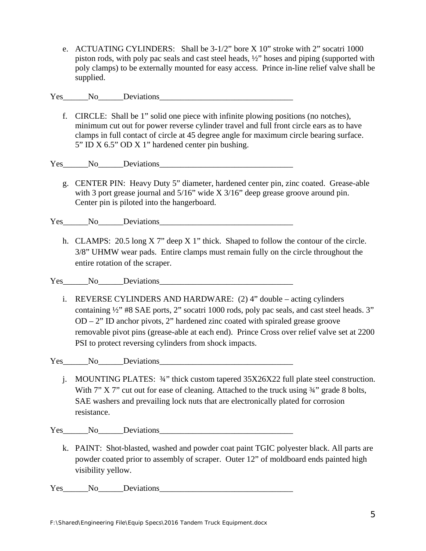e. ACTUATING CYLINDERS: Shall be 3-1/2" bore X 10" stroke with 2" socatri 1000 piston rods, with poly pac seals and cast steel heads, ½" hoses and piping (supported with poly clamps) to be externally mounted for easy access. Prince in-line relief valve shall be supplied.

Yes No<sub>ll</sub> Deviations

f. CIRCLE: Shall be 1" solid one piece with infinite plowing positions (no notches), minimum cut out for power reverse cylinder travel and full front circle ears as to have clamps in full contact of circle at 45 degree angle for maximum circle bearing surface. 5" ID X 6.5" OD X 1" hardened center pin bushing.

Yes No Deviations

g. CENTER PIN: Heavy Duty 5" diameter, hardened center pin, zinc coated. Grease-able with 3 port grease journal and 5/16" wide X 3/16" deep grease groove around pin. Center pin is piloted into the hangerboard.

Yes No Deviations

h. CLAMPS: 20.5 long X 7" deep X 1" thick. Shaped to follow the contour of the circle. 3/8" UHMW wear pads. Entire clamps must remain fully on the circle throughout the entire rotation of the scraper.

Yes No<sub>ll</sub> Deviations

i. REVERSE CYLINDERS AND HARDWARE: (2) 4" double – acting cylinders containing ½" #8 SAE ports, 2" socatri 1000 rods, poly pac seals, and cast steel heads. 3" OD – 2" ID anchor pivots, 2" hardened zinc coated with spiraled grease groove removable pivot pins (grease-able at each end). Prince Cross over relief valve set at 2200 PSI to protect reversing cylinders from shock impacts.

Yes\_\_\_\_\_\_No\_\_\_\_\_\_Deviations\_\_\_\_\_\_\_\_\_\_\_\_\_\_\_\_\_\_\_\_\_\_\_\_\_\_\_\_\_\_\_\_

j. MOUNTING PLATES: ¾" thick custom tapered 35X26X22 full plate steel construction. With  $7''$  X  $7''$  cut out for ease of cleaning. Attached to the truck using  $\frac{3}{4}$  grade 8 bolts, SAE washers and prevailing lock nuts that are electronically plated for corrosion resistance.

Yes No<sub>ll</sub> Deviations

k. PAINT: Shot-blasted, washed and powder coat paint TGIC polyester black. All parts are powder coated prior to assembly of scraper. Outer 12" of moldboard ends painted high visibility yellow.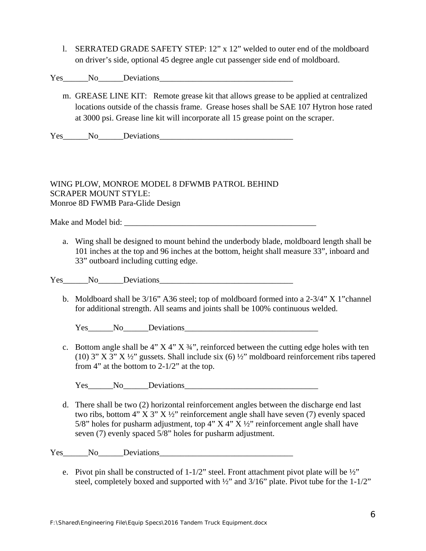l. SERRATED GRADE SAFETY STEP: 12" x 12" welded to outer end of the moldboard on driver's side, optional 45 degree angle cut passenger side end of moldboard.

Yes No<sub>ll</sub> Deviations

m. GREASE LINE KIT: Remote grease kit that allows grease to be applied at centralized locations outside of the chassis frame. Grease hoses shall be SAE 107 Hytron hose rated at 3000 psi. Grease line kit will incorporate all 15 grease point on the scraper.

Yes No<sub>ll</sub> Deviations

## WING PLOW, MONROE MODEL 8 DFWMB PATROL BEHIND SCRAPER MOUNT STYLE: Monroe 8D FWMB Para-Glide Design

Make and Model bid:  $\blacksquare$ 

a. Wing shall be designed to mount behind the underbody blade, moldboard length shall be 101 inches at the top and 96 inches at the bottom, height shall measure 33", inboard and 33" outboard including cutting edge.

Yes No Deviations

b. Moldboard shall be 3/16" A36 steel; top of moldboard formed into a 2-3/4" X 1"channel for additional strength. All seams and joints shall be 100% continuous welded.

Yes\_\_\_\_\_\_No\_\_\_\_\_\_Deviations\_\_\_\_\_\_\_\_\_\_\_\_\_\_\_\_\_\_\_\_\_\_\_\_\_\_\_\_\_\_\_\_

c. Bottom angle shall be  $4" X 4" X 34"$ , reinforced between the cutting edge holes with ten (10) 3" X 3" X ½" gussets. Shall include six (6) ½" moldboard reinforcement ribs tapered from 4" at the bottom to 2-1/2" at the top.

Yes No Deviations

d. There shall be two (2) horizontal reinforcement angles between the discharge end last two ribs, bottom 4" X 3" X ½" reinforcement angle shall have seven (7) evenly spaced 5/8" holes for pusharm adjustment, top 4"  $X$  4"  $X$   $\frac{1}{2}$ " reinforcement angle shall have seven (7) evenly spaced 5/8" holes for pusharm adjustment.

Yes No Deviations

e. Pivot pin shall be constructed of  $1-1/2$ " steel. Front attachment pivot plate will be  $\frac{1}{2}$ " steel, completely boxed and supported with ½" and 3/16" plate. Pivot tube for the 1-1/2"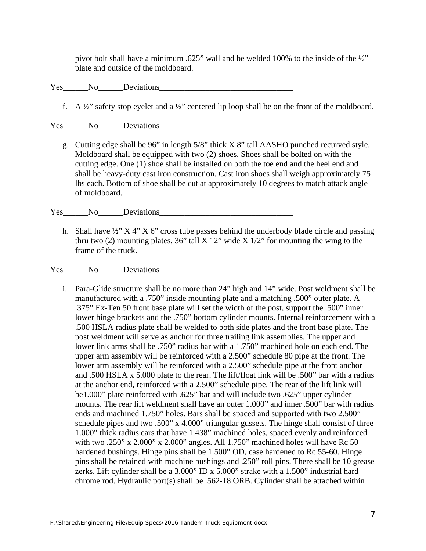pivot bolt shall have a minimum .625" wall and be welded 100% to the inside of the ½" plate and outside of the moldboard.

Yes No Deviations

f. A  $\frac{1}{2}$ " safety stop eyelet and a  $\frac{1}{2}$ " centered lip loop shall be on the front of the moldboard.

Yes No Deviations

g. Cutting edge shall be 96" in length 5/8" thick X 8" tall AASHO punched recurved style. Moldboard shall be equipped with two (2) shoes. Shoes shall be bolted on with the cutting edge. One (1) shoe shall be installed on both the toe end and the heel end and shall be heavy-duty cast iron construction. Cast iron shoes shall weigh approximately 75 lbs each. Bottom of shoe shall be cut at approximately 10 degrees to match attack angle of moldboard.

Yes No Deviations

h. Shall have  $\frac{1}{2}$   $\times$   $\frac{1}{2}$   $\times$   $\frac{1}{2}$   $\times$   $\frac{1}{2}$   $\times$   $\frac{1}{2}$   $\times$   $\frac{1}{2}$   $\times$   $\frac{1}{2}$   $\times$   $\frac{1}{2}$   $\times$   $\frac{1}{2}$   $\times$   $\frac{1}{2}$   $\times$   $\frac{1}{2}$   $\times$   $\frac{1}{2}$   $\times$   $\frac{1}{2}$   $\times$   $\frac{1}{2}$   $\$ thru two (2) mounting plates,  $36$ " tall X  $12$ " wide X  $1/2$ " for mounting the wing to the frame of the truck.

Yes No Deviations

i. Para-Glide structure shall be no more than 24" high and 14" wide. Post weldment shall be manufactured with a .750" inside mounting plate and a matching .500" outer plate. A .375" Ex-Ten 50 front base plate will set the width of the post, support the .500" inner lower hinge brackets and the .750" bottom cylinder mounts. Internal reinforcement with a .500 HSLA radius plate shall be welded to both side plates and the front base plate. The post weldment will serve as anchor for three trailing link assemblies. The upper and lower link arms shall be .750" radius bar with a 1.750" machined hole on each end. The upper arm assembly will be reinforced with a 2.500" schedule 80 pipe at the front. The lower arm assembly will be reinforced with a 2.500" schedule pipe at the front anchor and .500 HSLA x 5.000 plate to the rear. The lift/float link will be .500" bar with a radius at the anchor end, reinforced with a 2.500" schedule pipe. The rear of the lift link will be1.000" plate reinforced with .625" bar and will include two .625" upper cylinder mounts. The rear lift weldment shall have an outer 1.000" and inner .500" bar with radius ends and machined 1.750" holes. Bars shall be spaced and supported with two 2.500" schedule pipes and two .500" x 4.000" triangular gussets. The hinge shall consist of three 1.000" thick radius ears that have 1.438" machined holes, spaced evenly and reinforced with two .250" x 2.000" x 2.000" angles. All 1.750" machined holes will have Rc 50 hardened bushings. Hinge pins shall be 1.500" OD, case hardened to Rc 55-60. Hinge pins shall be retained with machine bushings and .250" roll pins. There shall be 10 grease zerks. Lift cylinder shall be a 3.000" ID x 5.000" strake with a 1.500" industrial hard chrome rod. Hydraulic port(s) shall be .562-18 ORB. Cylinder shall be attached within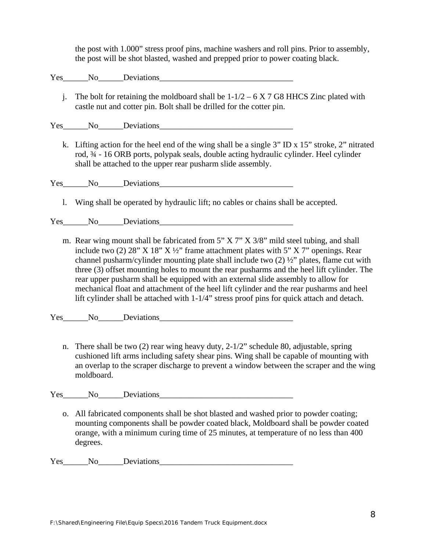the post with 1.000" stress proof pins, machine washers and roll pins. Prior to assembly, the post will be shot blasted, washed and prepped prior to power coating black.

Yes No Deviations

j. The bolt for retaining the moldboard shall be  $1-1/2 - 6 \text{ X } 7 \text{ G} 8$  HHCS Zinc plated with castle nut and cotter pin. Bolt shall be drilled for the cotter pin.

Yes No Deviations

k. Lifting action for the heel end of the wing shall be a single 3" ID x 15" stroke, 2" nitrated rod, ¾ - 16 ORB ports, polypak seals, double acting hydraulic cylinder. Heel cylinder shall be attached to the upper rear pusharm slide assembly.

Yes No Deviations

l. Wing shall be operated by hydraulic lift; no cables or chains shall be accepted.

Yes No Deviations

m. Rear wing mount shall be fabricated from 5" X 7" X 3/8" mild steel tubing, and shall include two (2) 28" X 18" X  $\frac{1}{2}$ " frame attachment plates with 5" X 7" openings. Rear channel pusharm/cylinder mounting plate shall include two (2) ½" plates, flame cut with three (3) offset mounting holes to mount the rear pusharms and the heel lift cylinder. The rear upper pusharm shall be equipped with an external slide assembly to allow for mechanical float and attachment of the heel lift cylinder and the rear pusharms and heel lift cylinder shall be attached with 1-1/4" stress proof pins for quick attach and detach.

Yes\_\_\_\_\_\_No\_\_\_\_\_\_Deviations\_\_\_\_\_\_\_\_\_\_\_\_\_\_\_\_\_\_\_\_\_\_\_\_\_\_\_\_\_\_\_\_

n. There shall be two  $(2)$  rear wing heavy duty,  $2-1/2$ " schedule 80, adjustable, spring cushioned lift arms including safety shear pins. Wing shall be capable of mounting with an overlap to the scraper discharge to prevent a window between the scraper and the wing moldboard.

Yes\_\_\_\_\_\_No\_\_\_\_\_\_Deviations

o. All fabricated components shall be shot blasted and washed prior to powder coating; mounting components shall be powder coated black, Moldboard shall be powder coated orange, with a minimum curing time of 25 minutes, at temperature of no less than 400 degrees.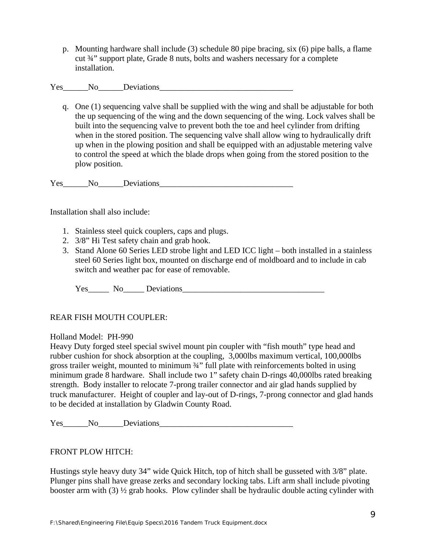p. Mounting hardware shall include (3) schedule 80 pipe bracing, six (6) pipe balls, a flame cut ¾" support plate, Grade 8 nuts, bolts and washers necessary for a complete installation.

Yes No Deviations

q. One (1) sequencing valve shall be supplied with the wing and shall be adjustable for both the up sequencing of the wing and the down sequencing of the wing. Lock valves shall be built into the sequencing valve to prevent both the toe and heel cylinder from drifting when in the stored position. The sequencing valve shall allow wing to hydraulically drift up when in the plowing position and shall be equipped with an adjustable metering valve to control the speed at which the blade drops when going from the stored position to the plow position.

Yes No Deviations

Installation shall also include:

- 1. Stainless steel quick couplers, caps and plugs.
- 2. 3/8" Hi Test safety chain and grab hook.
- 3. Stand Alone 60 Series LED strobe light and LED ICC light both installed in a stainless steel 60 Series light box, mounted on discharge end of moldboard and to include in cab switch and weather pac for ease of removable.

Yes\_\_\_\_\_ No\_\_\_\_\_ Deviations\_\_\_\_\_\_\_\_\_\_\_\_\_\_\_\_\_\_\_\_\_\_\_\_\_\_\_\_\_\_\_\_\_\_

# REAR FISH MOUTH COUPLER:

## Holland Model: PH-990

Heavy Duty forged steel special swivel mount pin coupler with "fish mouth" type head and rubber cushion for shock absorption at the coupling, 3,000lbs maximum vertical, 100,000lbs gross trailer weight, mounted to minimum ¾" full plate with reinforcements bolted in using minimum grade 8 hardware. Shall include two 1" safety chain D-rings 40,000lbs rated breaking strength. Body installer to relocate 7-prong trailer connector and air glad hands supplied by truck manufacturer. Height of coupler and lay-out of D-rings, 7-prong connector and glad hands to be decided at installation by Gladwin County Road.

Yes No Deviations

## FRONT PLOW HITCH:

Hustings style heavy duty 34" wide Quick Hitch, top of hitch shall be gusseted with 3/8" plate. Plunger pins shall have grease zerks and secondary locking tabs. Lift arm shall include pivoting booster arm with (3) ½ grab hooks. Plow cylinder shall be hydraulic double acting cylinder with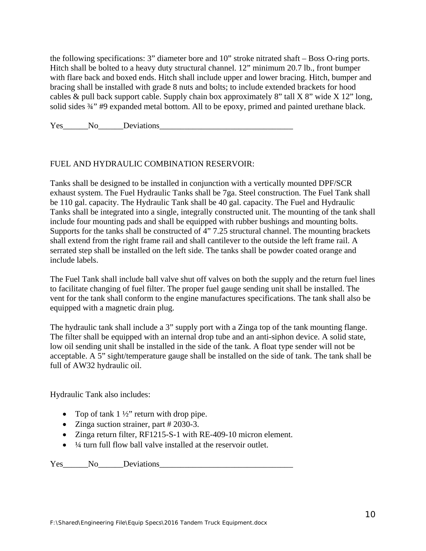the following specifications: 3" diameter bore and 10" stroke nitrated shaft – Boss O-ring ports. Hitch shall be bolted to a heavy duty structural channel. 12" minimum 20.7 lb., front bumper with flare back and boxed ends. Hitch shall include upper and lower bracing. Hitch, bumper and bracing shall be installed with grade 8 nuts and bolts; to include extended brackets for hood cables  $\&$  pull back support cable. Supply chain box approximately 8" tall X 8" wide X 12" long, solid sides  $\frac{3}{4}$ " #9 expanded metal bottom. All to be epoxy, primed and painted urethane black.

Yes\_\_\_\_\_\_No\_\_\_\_\_\_Deviations\_\_\_\_\_\_\_\_\_\_\_\_\_\_\_\_\_\_\_\_\_\_\_\_\_\_\_\_\_\_\_\_

## FUEL AND HYDRAULIC COMBINATION RESERVOIR:

Tanks shall be designed to be installed in conjunction with a vertically mounted DPF/SCR exhaust system. The Fuel Hydraulic Tanks shall be 7ga. Steel construction. The Fuel Tank shall be 110 gal. capacity. The Hydraulic Tank shall be 40 gal. capacity. The Fuel and Hydraulic Tanks shall be integrated into a single, integrally constructed unit. The mounting of the tank shall include four mounting pads and shall be equipped with rubber bushings and mounting bolts. Supports for the tanks shall be constructed of 4" 7.25 structural channel. The mounting brackets shall extend from the right frame rail and shall cantilever to the outside the left frame rail. A serrated step shall be installed on the left side. The tanks shall be powder coated orange and include labels.

The Fuel Tank shall include ball valve shut off valves on both the supply and the return fuel lines to facilitate changing of fuel filter. The proper fuel gauge sending unit shall be installed. The vent for the tank shall conform to the engine manufactures specifications. The tank shall also be equipped with a magnetic drain plug.

The hydraulic tank shall include a 3" supply port with a Zinga top of the tank mounting flange. The filter shall be equipped with an internal drop tube and an anti-siphon device. A solid state, low oil sending unit shall be installed in the side of the tank. A float type sender will not be acceptable. A 5" sight/temperature gauge shall be installed on the side of tank. The tank shall be full of AW32 hydraulic oil.

Hydraulic Tank also includes:

- Top of tank  $1\frac{1}{2}$ " return with drop pipe.
- Zinga suction strainer, part # 2030-3.
- Zinga return filter, RF1215-S-1 with RE-409-10 micron element.
- $\bullet$   $\frac{1}{4}$  turn full flow ball valve installed at the reservoir outlet.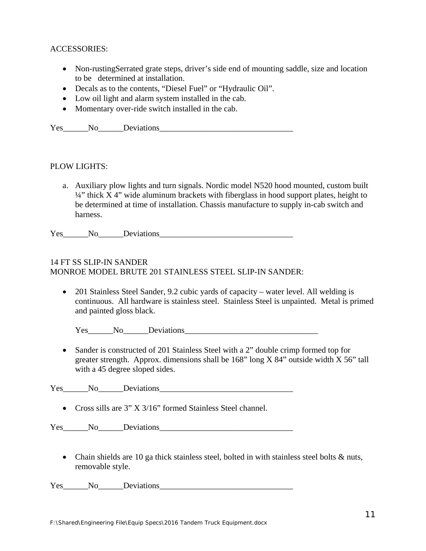## ACCESSORIES:

- Non-rustingSerrated grate steps, driver's side end of mounting saddle, size and location to be determined at installation.
- Decals as to the contents, "Diesel Fuel" or "Hydraulic Oil".
- Low oil light and alarm system installed in the cab.
- Momentary over-ride switch installed in the cab.

Yes No Deviations

## PLOW LIGHTS:

a. Auxiliary plow lights and turn signals. Nordic model N520 hood mounted, custom built ¼" thick X 4" wide aluminum brackets with fiberglass in hood support plates, height to be determined at time of installation. Chassis manufacture to supply in-cab switch and harness.

Yes No Deviations

## 14 FT SS SLIP-IN SANDER MONROE MODEL BRUTE 201 STAINLESS STEEL SLIP-IN SANDER:

 201 Stainless Steel Sander, 9.2 cubic yards of capacity – water level. All welding is continuous. All hardware is stainless steel. Stainless Steel is unpainted. Metal is primed and painted gloss black.

Yes No Deviations

• Sander is constructed of 201 Stainless Steel with a 2" double crimp formed top for greater strength. Approx. dimensions shall be 168" long X 84" outside width X 56" tall with a 45 degree sloped sides.

Yes No Deviations

Cross sills are 3" X 3/16" formed Stainless Steel channel.

Yes No Deviations

• Chain shields are 10 ga thick stainless steel, bolted in with stainless steel bolts & nuts, removable style.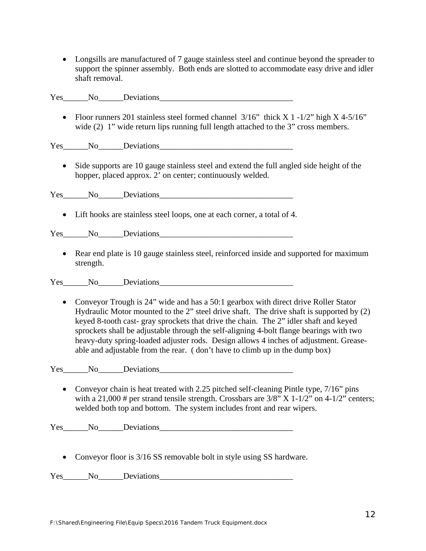Longsills are manufactured of 7 gauge stainless steel and continue beyond the spreader to support the spinner assembly. Both ends are slotted to accommodate easy drive and idler shaft removal.

Yes No Deviations

• Floor runners 201 stainless steel formed channel 3/16" thick X 1 -1/2" high X 4-5/16" wide (2) 1" wide return lips running full length attached to the 3" cross members.

Yes No Deviations

 Side supports are 10 gauge stainless steel and extend the full angled side height of the hopper, placed approx. 2' on center; continuously welded.

Yes No Deviations

Lift hooks are stainless steel loops, one at each corner, a total of 4.

Yes\_\_\_\_\_\_No\_\_\_\_\_\_Deviations

• Rear end plate is 10 gauge stainless steel, reinforced inside and supported for maximum strength.

Yes No Deviations

• Conveyor Trough is 24" wide and has a 50:1 gearbox with direct drive Roller Stator Hydraulic Motor mounted to the 2" steel drive shaft. The drive shaft is supported by (2) keyed 8-tooth cast- gray sprockets that drive the chain. The 2" idler shaft and keyed sprockets shall be adjustable through the self-aligning 4-bolt flange bearings with two heavy-duty spring-loaded adjuster rods. Design allows 4 inches of adjustment. Greaseable and adjustable from the rear. ( don't have to climb up in the dump box)

Yes No Deviations

• Conveyor chain is heat treated with 2.25 pitched self-cleaning Pintle type,  $7/16$ " pins with a 21,000 # per strand tensile strength. Crossbars are  $3/8$ " X 1-1/2" on 4-1/2" centers; welded both top and bottom. The system includes front and rear wipers.

Yes No Deviations

• Conveyor floor is 3/16 SS removable bolt in style using SS hardware.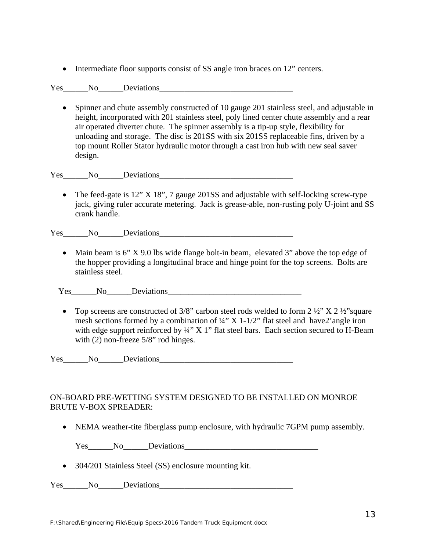• Intermediate floor supports consist of SS angle iron braces on 12" centers.

Yes No<sub>ll</sub> Deviations

 Spinner and chute assembly constructed of 10 gauge 201 stainless steel, and adjustable in height, incorporated with 201 stainless steel, poly lined center chute assembly and a rear air operated diverter chute. The spinner assembly is a tip-up style, flexibility for unloading and storage. The disc is 201SS with six 201SS replaceable fins, driven by a top mount Roller Stator hydraulic motor through a cast iron hub with new seal saver design.

Yes No Deviations

• The feed-gate is 12" X 18", 7 gauge 201SS and adjustable with self-locking screw-type jack, giving ruler accurate metering. Jack is grease-able, non-rusting poly U-joint and SS crank handle.

Yes No Deviations

• Main beam is  $6''$  X 9.0 lbs wide flange bolt-in beam, elevated 3" above the top edge of the hopper providing a longitudinal brace and hinge point for the top screens. Bolts are stainless steel.

Yes No Deviations

• Top screens are constructed of 3/8" carbon steel rods welded to form  $2\frac{1}{2}$ " X  $2\frac{1}{2}$ " square mesh sections formed by a combination of  $\frac{1}{4}$ " X 1-1/2" flat steel and have 2'angle iron with edge support reinforced by  $\frac{1}{4}$ " X 1" flat steel bars. Each section secured to H-Beam with (2) non-freeze 5/8" rod hinges.

Yes No Deviations

## ON-BOARD PRE-WETTING SYSTEM DESIGNED TO BE INSTALLED ON MONROE BRUTE V-BOX SPREADER:

• NEMA weather-tite fiberglass pump enclosure, with hydraulic 7GPM pump assembly.

Yes No Deviations

• 304/201 Stainless Steel (SS) enclosure mounting kit.

Yes No<sub>ll</sub> Deviations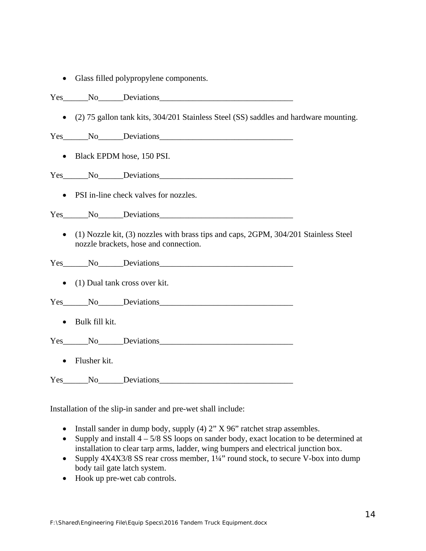Glass filled polypropylene components.

Yes No Deviations

(2) 75 gallon tank kits, 304/201 Stainless Steel (SS) saddles and hardware mounting.

Yes No Deviations

• Black EPDM hose, 150 PSI.

Yes No<sub>l</sub> Deviations

• PSI in-line check valves for nozzles.

Yes No Deviations

 (1) Nozzle kit, (3) nozzles with brass tips and caps, 2GPM, 304/201 Stainless Steel nozzle brackets, hose and connection.

Yes No Deviations

• (1) Dual tank cross over kit.

Yes\_\_\_\_\_\_No\_\_\_\_\_\_Deviations\_\_\_\_\_\_\_\_\_\_\_\_\_\_\_\_\_\_\_\_\_\_\_\_\_\_\_\_\_\_\_\_

• Bulk fill kit.

Yes No Deviations

• Flusher kit.

Yes No. Deviations

Installation of the slip-in sander and pre-wet shall include:

- Install sander in dump body, supply  $(4)$  2" X 96" ratchet strap assembles.
- Supply and install  $4 5/8$  SS loops on sander body, exact location to be determined at installation to clear tarp arms, ladder, wing bumpers and electrical junction box.
- Supply  $4X4X3/8$  SS rear cross member,  $1\frac{1}{4}$ " round stock, to secure V-box into dump body tail gate latch system.
- Hook up pre-wet cab controls.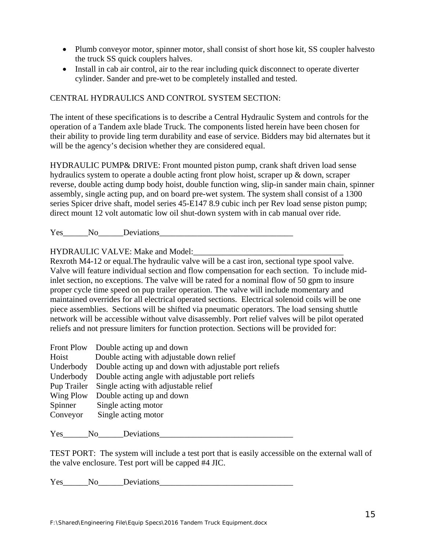- Plumb conveyor motor, spinner motor, shall consist of short hose kit, SS coupler halvesto the truck SS quick couplers halves.
- Install in cab air control, air to the rear including quick disconnect to operate diverter cylinder. Sander and pre-wet to be completely installed and tested.

# CENTRAL HYDRAULICS AND CONTROL SYSTEM SECTION:

The intent of these specifications is to describe a Central Hydraulic System and controls for the operation of a Tandem axle blade Truck. The components listed herein have been chosen for their ability to provide ling term durability and ease of service. Bidders may bid alternates but it will be the agency's decision whether they are considered equal.

HYDRAULIC PUMP& DRIVE: Front mounted piston pump, crank shaft driven load sense hydraulics system to operate a double acting front plow hoist, scraper up & down, scraper reverse, double acting dump body hoist, double function wing, slip-in sander main chain, spinner assembly, single acting pup, and on board pre-wet system. The system shall consist of a 1300 series Spicer drive shaft, model series 45-E147 8.9 cubic inch per Rev load sense piston pump; direct mount 12 volt automatic low oil shut-down system with in cab manual over ride.

Yes No Deviations

HYDRAULIC VALVE: Make and Model:\_\_\_\_\_\_\_\_\_\_\_\_\_\_\_\_\_\_\_\_\_\_\_\_\_\_\_\_\_\_\_\_\_\_\_\_

Rexroth M4-12 or equal.The hydraulic valve will be a cast iron, sectional type spool valve. Valve will feature individual section and flow compensation for each section. To include midinlet section, no exceptions. The valve will be rated for a nominal flow of 50 gpm to insure proper cycle time speed on pup trailer operation. The valve will include momentary and maintained overrides for all electrical operated sections. Electrical solenoid coils will be one piece assemblies. Sections will be shifted via pneumatic operators. The load sensing shuttle network will be accessible without valve disassembly. Port relief valves will be pilot operated reliefs and not pressure limiters for function protection. Sections will be provided for:

| <b>Front Plow</b> | Double acting up and down                              |
|-------------------|--------------------------------------------------------|
| Hoist             | Double acting with adjustable down relief              |
| Underbody         | Double acting up and down with adjustable port reliefs |
| Underbody         | Double acting angle with adjustable port reliefs       |
| Pup Trailer       | Single acting with adjustable relief                   |
| Wing Plow         | Double acting up and down                              |
| Spinner           | Single acting motor                                    |
| Conveyor          | Single acting motor                                    |
|                   |                                                        |

Yes No Deviations

TEST PORT: The system will include a test port that is easily accessible on the external wall of the valve enclosure. Test port will be capped #4 JIC.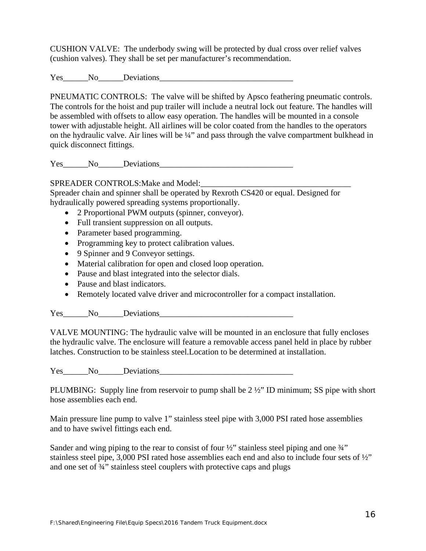CUSHION VALVE: The underbody swing will be protected by dual cross over relief valves (cushion valves). They shall be set per manufacturer's recommendation.

Yes No Deviations

PNEUMATIC CONTROLS: The valve will be shifted by Apsco feathering pneumatic controls. The controls for the hoist and pup trailer will include a neutral lock out feature. The handles will be assembled with offsets to allow easy operation. The handles will be mounted in a console tower with adjustable height. All airlines will be color coated from the handles to the operators on the hydraulic valve. Air lines will be ¼" and pass through the valve compartment bulkhead in quick disconnect fittings.

Yes No Deviations

SPREADER CONTROLS: Make and Model:

Spreader chain and spinner shall be operated by Rexroth CS420 or equal. Designed for hydraulically powered spreading systems proportionally.

- 2 Proportional PWM outputs (spinner, conveyor).
- Full transient suppression on all outputs.
- Parameter based programming.
- Programming key to protect calibration values.
- 9 Spinner and 9 Conveyor settings.
- Material calibration for open and closed loop operation.
- Pause and blast integrated into the selector dials.
- Pause and blast indicators.
- Remotely located valve driver and microcontroller for a compact installation.

Yes No Deviations

VALVE MOUNTING: The hydraulic valve will be mounted in an enclosure that fully encloses the hydraulic valve. The enclosure will feature a removable access panel held in place by rubber latches. Construction to be stainless steel.Location to be determined at installation.

Yes No Deviations

PLUMBING: Supply line from reservoir to pump shall be  $2\frac{1}{2}$ " ID minimum; SS pipe with short hose assemblies each end.

Main pressure line pump to valve 1" stainless steel pipe with 3,000 PSI rated hose assemblies and to have swivel fittings each end.

Sander and wing piping to the rear to consist of four  $\frac{1}{2}$  stainless steel piping and one  $\frac{3}{4}$ " stainless steel pipe, 3,000 PSI rated hose assemblies each end and also to include four sets of ½" and one set of ¾" stainless steel couplers with protective caps and plugs